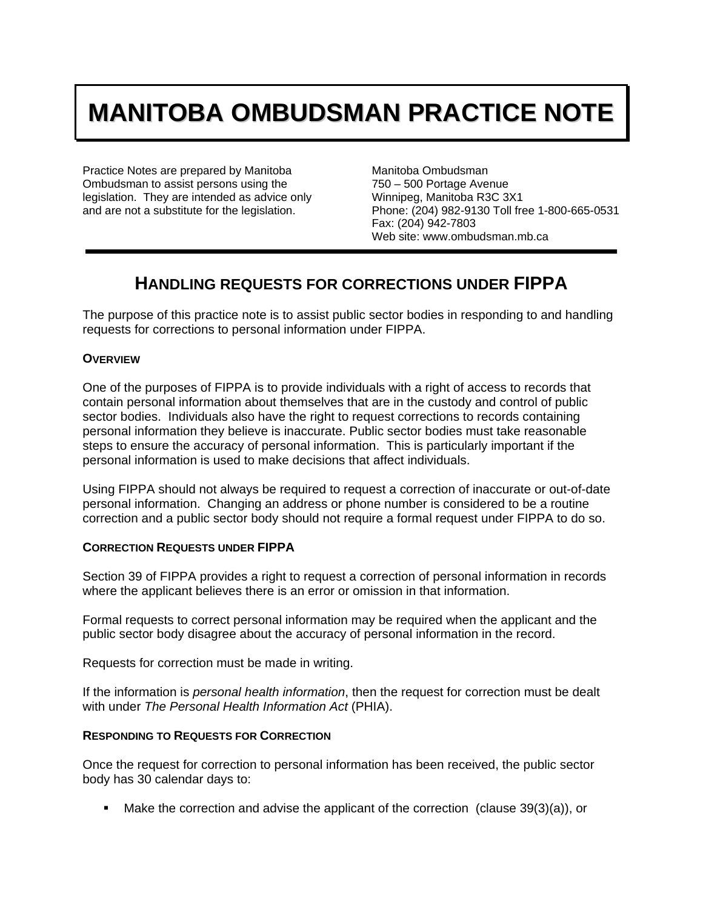# **MANITOBA OMBUDSMAN PRACTICE NOTE**

Practice Notes are prepared by Manitoba Ombudsman to assist persons using the legislation. They are intended as advice only and are not a substitute for the legislation.

Manitoba Ombudsman 750 – 500 Portage Avenue Winnipeg, Manitoba R3C 3X1 Phone: (204) 982-9130 Toll free 1-800-665-0531 Fax: (204) 942-7803 Web site: www.ombudsman.mb.ca

# **HANDLING REQUESTS FOR CORRECTIONS UNDER FIPPA**

The purpose of this practice note is to assist public sector bodies in responding to and handling requests for corrections to personal information under FIPPA.

## **OVERVIEW**

One of the purposes of FIPPA is to provide individuals with a right of access to records that contain personal information about themselves that are in the custody and control of public sector bodies. Individuals also have the right to request corrections to records containing personal information they believe is inaccurate. Public sector bodies must take reasonable steps to ensure the accuracy of personal information. This is particularly important if the personal information is used to make decisions that affect individuals.

Using FIPPA should not always be required to request a correction of inaccurate or out-of-date personal information. Changing an address or phone number is considered to be a routine correction and a public sector body should not require a formal request under FIPPA to do so.

## **CORRECTION REQUESTS UNDER FIPPA**

Section 39 of FIPPA provides a right to request a correction of personal information in records where the applicant believes there is an error or omission in that information.

Formal requests to correct personal information may be required when the applicant and the public sector body disagree about the accuracy of personal information in the record.

Requests for correction must be made in writing.

If the information is *personal health information*, then the request for correction must be dealt with under *The Personal Health Information Act* (PHIA).

## **RESPONDING TO REQUESTS FOR CORRECTION**

Once the request for correction to personal information has been received, the public sector body has 30 calendar days to:

Make the correction and advise the applicant of the correction (clause 39(3)(a)), or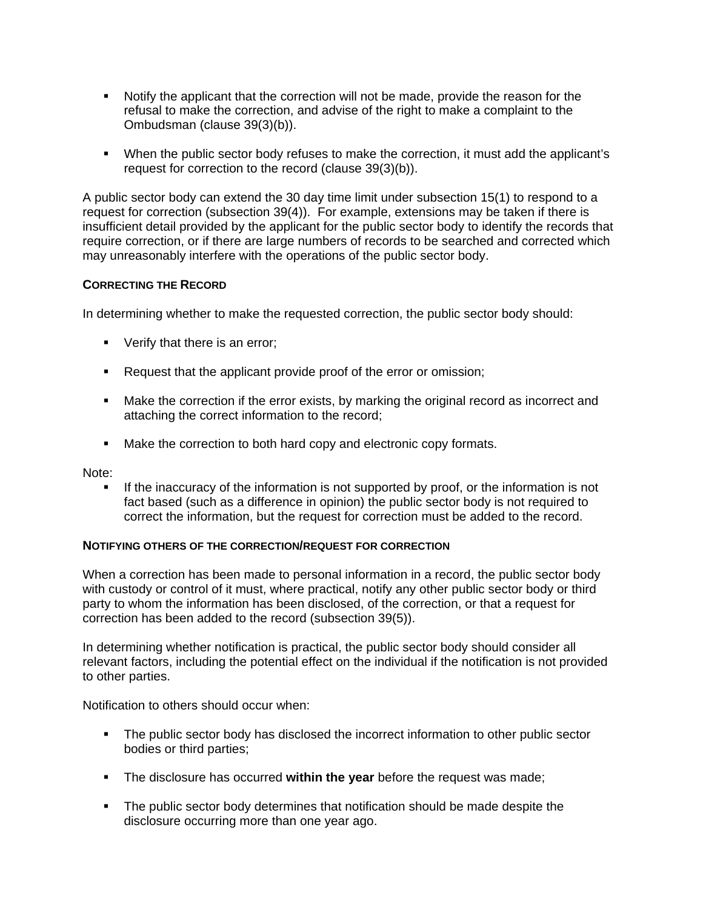- Notify the applicant that the correction will not be made, provide the reason for the refusal to make the correction, and advise of the right to make a complaint to the Ombudsman (clause 39(3)(b)).
- When the public sector body refuses to make the correction, it must add the applicant's request for correction to the record (clause 39(3)(b)).

A public sector body can extend the 30 day time limit under subsection 15(1) to respond to a request for correction (subsection 39(4)). For example, extensions may be taken if there is insufficient detail provided by the applicant for the public sector body to identify the records that require correction, or if there are large numbers of records to be searched and corrected which may unreasonably interfere with the operations of the public sector body.

#### **CORRECTING THE RECORD**

In determining whether to make the requested correction, the public sector body should:

- Verify that there is an error;
- Request that the applicant provide proof of the error or omission;
- Make the correction if the error exists, by marking the original record as incorrect and attaching the correct information to the record;
- Make the correction to both hard copy and electronic copy formats.

Note:

If the inaccuracy of the information is not supported by proof, or the information is not fact based (such as a difference in opinion) the public sector body is not required to correct the information, but the request for correction must be added to the record.

#### **NOTIFYING OTHERS OF THE CORRECTION/REQUEST FOR CORRECTION**

When a correction has been made to personal information in a record, the public sector body with custody or control of it must, where practical, notify any other public sector body or third party to whom the information has been disclosed, of the correction, or that a request for correction has been added to the record (subsection 39(5)).

In determining whether notification is practical, the public sector body should consider all relevant factors, including the potential effect on the individual if the notification is not provided to other parties.

Notification to others should occur when:

- The public sector body has disclosed the incorrect information to other public sector bodies or third parties;
- The disclosure has occurred **within the year** before the request was made;
- **The public sector body determines that notification should be made despite the** disclosure occurring more than one year ago.